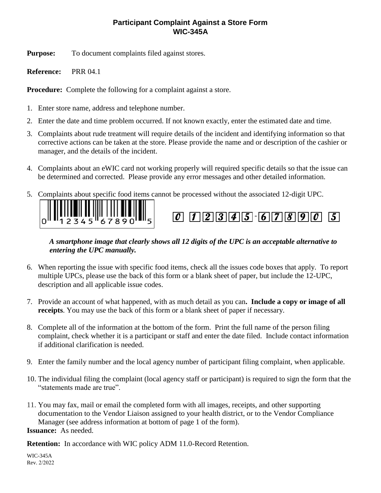## **Participant Complaint Against a Store Form WIC-345A**

**Purpose:** To document complaints filed against stores.

**Reference:** PRR 04.1

**Procedure:** Complete the following for a complaint against a store.

- 1. Enter store name, address and telephone number.
- 2. Enter the date and time problem occurred. If not known exactly, enter the estimated date and time.
- 3. Complaints about rude treatment will require details of the incident and identifying information so that corrective actions can be taken at the store. Please provide the name and or description of the cashier or manager, and the details of the incident.
- 4. Complaints about an eWIC card not working properly will required specific details so that the issue can be determined and corrected. Please provide any error messages and other detailed information.
- 5. Complaints about specific food items cannot be processed without the associated 12-digit UPC.





## *A smartphone image that clearly shows all 12 digits of the UPC is an acceptable alternative to entering the UPC manually.*

- 6. When reporting the issue with specific food items, check all the issues code boxes that apply. To report multiple UPCs, please use the back of this form or a blank sheet of paper, but include the 12-UPC, description and all applicable issue codes.
- 7. Provide an account of what happened, with as much detail as you can**. Include a copy or image of all receipts**. You may use the back of this form or a blank sheet of paper if necessary.
- 8. Complete all of the information at the bottom of the form. Print the full name of the person filing complaint, check whether it is a participant or staff and enter the date filed. Include contact information if additional clarification is needed.
- 9. Enter the family number and the local agency number of participant filing complaint, when applicable.
- 10. The individual filing the complaint (local agency staff or participant) is required to sign the form that the "statements made are true".
- 11. You may fax, mail or email the completed form with all images, receipts, and other supporting documentation to the Vendor Liaison assigned to your health district, or to the Vendor Compliance Manager (see address information at bottom of page 1 of the form).

**Issuance:** As needed.

**Retention:** In accordance with WIC policy ADM 11.0-Record Retention.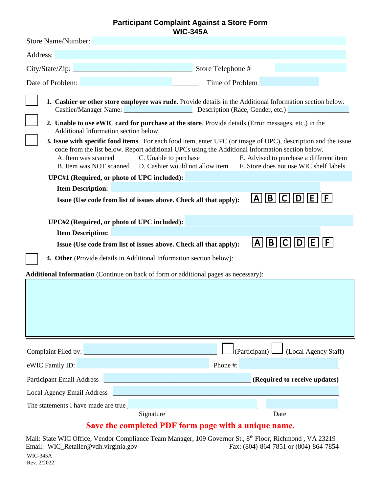## **Participant Complaint Against a Store Form WIC-345A**

| Store Name/Number:                                                                                                                                                                                                                                                                                                                                                                                                                                                                                                                                                                                                                                                                                                                                                                                                                                                                                                                                                                                                                                                                                                                                                                                                                                                                                                                                             |                                                        |
|----------------------------------------------------------------------------------------------------------------------------------------------------------------------------------------------------------------------------------------------------------------------------------------------------------------------------------------------------------------------------------------------------------------------------------------------------------------------------------------------------------------------------------------------------------------------------------------------------------------------------------------------------------------------------------------------------------------------------------------------------------------------------------------------------------------------------------------------------------------------------------------------------------------------------------------------------------------------------------------------------------------------------------------------------------------------------------------------------------------------------------------------------------------------------------------------------------------------------------------------------------------------------------------------------------------------------------------------------------------|--------------------------------------------------------|
| Address:                                                                                                                                                                                                                                                                                                                                                                                                                                                                                                                                                                                                                                                                                                                                                                                                                                                                                                                                                                                                                                                                                                                                                                                                                                                                                                                                                       |                                                        |
|                                                                                                                                                                                                                                                                                                                                                                                                                                                                                                                                                                                                                                                                                                                                                                                                                                                                                                                                                                                                                                                                                                                                                                                                                                                                                                                                                                | Store Telephone #                                      |
| Date of Problem:                                                                                                                                                                                                                                                                                                                                                                                                                                                                                                                                                                                                                                                                                                                                                                                                                                                                                                                                                                                                                                                                                                                                                                                                                                                                                                                                               | Time of Problem                                        |
| 1. Cashier or other store employee was rude. Provide details in the Additional Information section below.<br>Cashier/Manager Name: Description (Race, Gender, etc.)<br>2. Unable to use eWIC card for purchase at the store. Provide details (Error messages, etc.) in the<br>Additional Information section below.<br>3. Issue with specific food items. For each food item, enter UPC (or image of UPC), description and the issue<br>code from the list below. Report additional UPCs using the Additional Information section below.<br>A. Item was scanned<br>C. Unable to purchase<br>E. Advised to purchase a different item<br>D. Cashier would not allow item F. Store does not use WIC shelf labels<br>B. Item was NOT scanned<br>UPC#1 (Required, or photo of UPC included):<br><b>Item Description:</b><br> A  B  C  D  E  F <br>Issue (Use code from list of issues above. Check all that apply):<br>UPC#2 (Required, or photo of UPC included):<br><b>Item Description:</b><br>$\lfloor A \rfloor$ $\lfloor B \rfloor$ $\lfloor C \rfloor$ $\lfloor D \rfloor$ $\lfloor E \rfloor$ $\lfloor F \rfloor$<br>Issue (Use code from list of issues above. Check all that apply):<br>4. Other (Provide details in Additional Information section below):<br><b>Additional Information</b> (Continue on back of form or additional pages as necessary): |                                                        |
|                                                                                                                                                                                                                                                                                                                                                                                                                                                                                                                                                                                                                                                                                                                                                                                                                                                                                                                                                                                                                                                                                                                                                                                                                                                                                                                                                                |                                                        |
|                                                                                                                                                                                                                                                                                                                                                                                                                                                                                                                                                                                                                                                                                                                                                                                                                                                                                                                                                                                                                                                                                                                                                                                                                                                                                                                                                                | (Participant) $\Box$<br>$\bigcup$ (Local Agency Staff) |
| eWIC Family ID:                                                                                                                                                                                                                                                                                                                                                                                                                                                                                                                                                                                                                                                                                                                                                                                                                                                                                                                                                                                                                                                                                                                                                                                                                                                                                                                                                | Phone #:                                               |
| <b>Participant Email Address</b><br>and the control of the control of the control of the control of the control of the control of                                                                                                                                                                                                                                                                                                                                                                                                                                                                                                                                                                                                                                                                                                                                                                                                                                                                                                                                                                                                                                                                                                                                                                                                                              | (Required to receive updates)                          |
| <b>Local Agency Email Address</b>                                                                                                                                                                                                                                                                                                                                                                                                                                                                                                                                                                                                                                                                                                                                                                                                                                                                                                                                                                                                                                                                                                                                                                                                                                                                                                                              |                                                        |
| The statements I have made are true                                                                                                                                                                                                                                                                                                                                                                                                                                                                                                                                                                                                                                                                                                                                                                                                                                                                                                                                                                                                                                                                                                                                                                                                                                                                                                                            |                                                        |
| Signature                                                                                                                                                                                                                                                                                                                                                                                                                                                                                                                                                                                                                                                                                                                                                                                                                                                                                                                                                                                                                                                                                                                                                                                                                                                                                                                                                      | Date                                                   |
| Save the completed PDF form page with a unique name.                                                                                                                                                                                                                                                                                                                                                                                                                                                                                                                                                                                                                                                                                                                                                                                                                                                                                                                                                                                                                                                                                                                                                                                                                                                                                                           |                                                        |

Mail: State WIC Office, Vendor Compliance Team Manager, 109 Governor St., 8<sup>th</sup> Floor, Richmond, VA 23219 Email: WIC\_Retailer@vdh.virginia.gov WIC-345A Rev. 2/2022 Fax: (804)-864-7851 or (804)-864-7854